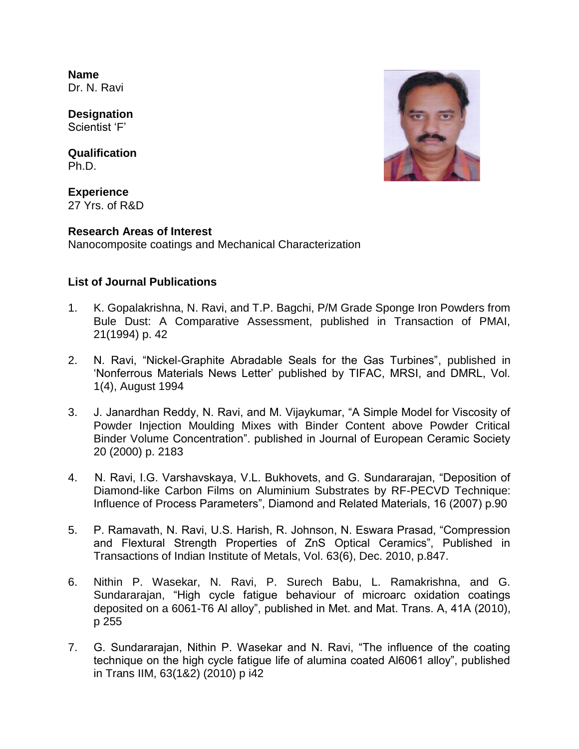**Name** Dr. N. Ravi

**Designation** Scientist 'F'

**Qualification** Ph.D.

**Experience** 27 Yrs. of R&D

## **Research Areas of Interest**

Nanocomposite coatings and Mechanical Characterization

## **List of Journal Publications**

- 1. K. Gopalakrishna, N. Ravi, and T.P. Bagchi, P/M Grade Sponge Iron Powders from Bule Dust: A Comparative Assessment, published in Transaction of PMAI, 21(1994) p. 42
- 2. N. Ravi, "Nickel-Graphite Abradable Seals for the Gas Turbines", published in 'Nonferrous Materials News Letter' published by TIFAC, MRSI, and DMRL, Vol. 1(4), August 1994
- 3. J. Janardhan Reddy, N. Ravi, and M. Vijaykumar, "A Simple Model for Viscosity of Powder Injection Moulding Mixes with Binder Content above Powder Critical Binder Volume Concentration". published in Journal of European Ceramic Society 20 (2000) p. 2183
- 4. N. Ravi, I.G. Varshavskaya, V.L. Bukhovets, and G. Sundararajan, "Deposition of Diamond-like Carbon Films on Aluminium Substrates by RF-PECVD Technique: Influence of Process Parameters", Diamond and Related Materials, 16 (2007) p.90
- 5. P. Ramavath, N. Ravi, U.S. Harish, R. Johnson, N. Eswara Prasad, "Compression and Flextural Strength Properties of ZnS Optical Ceramics", Published in Transactions of Indian Institute of Metals, Vol. 63(6), Dec. 2010, p.847.
- 6. Nithin P. Wasekar, N. Ravi, P. Surech Babu, L. Ramakrishna, and G. Sundararajan, "High cycle fatigue behaviour of microarc oxidation coatings deposited on a 6061-T6 Al alloy", published in Met. and Mat. Trans. A, 41A (2010), p 255
- 7. G. Sundararajan, Nithin P. Wasekar and N. Ravi, "The influence of the coating technique on the high cycle fatigue life of alumina coated Al6061 alloy", published in Trans IIM, 63(1&2) (2010) p i42

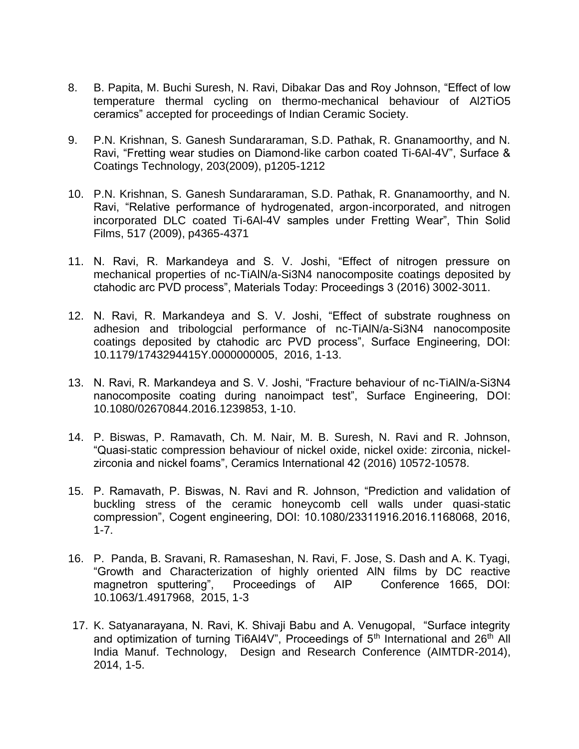- 8. B. Papita, M. Buchi Suresh, N. Ravi, Dibakar Das and Roy Johnson, "Effect of low temperature thermal cycling on thermo-mechanical behaviour of Al2TiO5 ceramics" accepted for proceedings of Indian Ceramic Society.
- 9. P.N. Krishnan, S. Ganesh Sundararaman, S.D. Pathak, R. Gnanamoorthy, and N. Ravi, "Fretting wear studies on Diamond-like carbon coated Ti-6Al-4V", Surface & Coatings Technology, 203(2009), p1205-1212
- 10. P.N. Krishnan, S. Ganesh Sundararaman, S.D. Pathak, R. Gnanamoorthy, and N. Ravi, "Relative performance of hydrogenated, argon-incorporated, and nitrogen incorporated DLC coated Ti-6Al-4V samples under Fretting Wear", Thin Solid Films, 517 (2009), p4365-4371
- 11. N. Ravi, R. Markandeya and S. V. Joshi, "Effect of nitrogen pressure on mechanical properties of nc-TiAlN/a-Si3N4 nanocomposite coatings deposited by ctahodic arc PVD process", Materials Today: Proceedings 3 (2016) 3002-3011.
- 12. N. Ravi, R. Markandeya and S. V. Joshi, "Effect of substrate roughness on adhesion and tribologcial performance of nc-TiAlN/a-Si3N4 nanocomposite coatings deposited by ctahodic arc PVD process", Surface Engineering, DOI: 10.1179/1743294415Y.0000000005, 2016, 1-13.
- 13. N. Ravi, R. Markandeya and S. V. Joshi, "Fracture behaviour of nc-TiAlN/a-Si3N4 nanocomposite coating during nanoimpact test", Surface Engineering, DOI: 10.1080/02670844.2016.1239853, 1-10.
- 14. P. Biswas, P. Ramavath, Ch. M. Nair, M. B. Suresh, N. Ravi and R. Johnson, "Quasi-static compression behaviour of nickel oxide, nickel oxide: zirconia, nickelzirconia and nickel foams", Ceramics International 42 (2016) 10572-10578.
- 15. P. Ramavath, P. Biswas, N. Ravi and R. Johnson, "Prediction and validation of buckling stress of the ceramic honeycomb cell walls under quasi-static compression", Cogent engineering, DOI: 10.1080/23311916.2016.1168068, 2016, 1-7.
- 16. P. Panda, B. Sravani, R. Ramaseshan, N. Ravi, F. Jose, S. Dash and A. K. Tyagi, "Growth and Characterization of highly oriented AlN films by DC reactive magnetron sputtering", Proceedings of AIP Conference 1665, DOI: 10.1063/1.4917968, 2015, 1-3
- 17. K. Satyanarayana, N. Ravi, K. Shivaji Babu and A. Venugopal, "Surface integrity and optimization of turning Ti6Al4V", Proceedings of 5<sup>th</sup> International and 26<sup>th</sup> All India Manuf. Technology, Design and Research Conference (AIMTDR-2014), 2014, 1-5.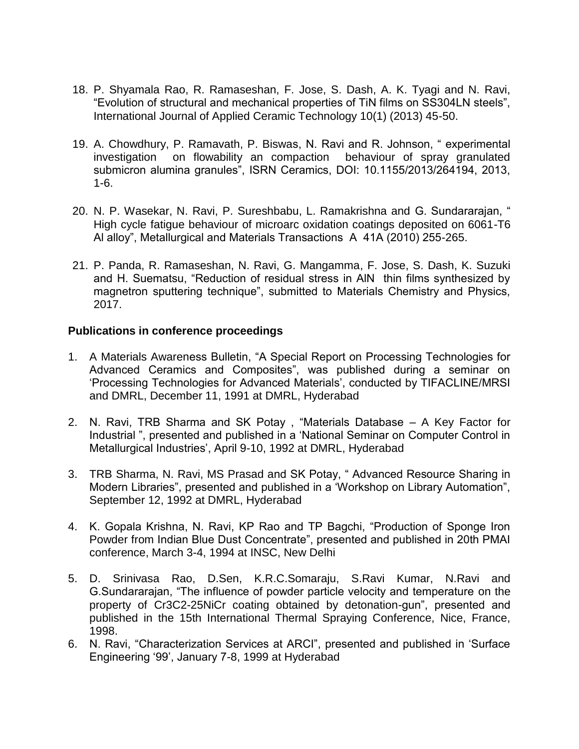- 18. P. Shyamala Rao, R. Ramaseshan, F. Jose, S. Dash, A. K. Tyagi and N. Ravi, "Evolution of structural and mechanical properties of TiN films on SS304LN steels", International Journal of Applied Ceramic Technology 10(1) (2013) 45-50.
- 19. A. Chowdhury, P. Ramavath, P. Biswas, N. Ravi and R. Johnson, " experimental investigation on flowability an compaction behaviour of spray granulated submicron alumina granules", ISRN Ceramics, DOI: 10.1155/2013/264194, 2013, 1-6.
- 20. N. P. Wasekar, N. Ravi, P. Sureshbabu, L. Ramakrishna and G. Sundararajan, " High cycle fatigue behaviour of microarc oxidation coatings deposited on 6061-T6 Al alloy", Metallurgical and Materials Transactions A 41A (2010) 255-265.
- 21. P. Panda, R. Ramaseshan, N. Ravi, G. Mangamma, F. Jose, S. Dash, K. Suzuki and H. Suematsu, "Reduction of residual stress in AlN thin films synthesized by magnetron sputtering technique", submitted to Materials Chemistry and Physics, 2017.

#### **Publications in conference proceedings**

- 1. A Materials Awareness Bulletin, "A Special Report on Processing Technologies for Advanced Ceramics and Composites", was published during a seminar on 'Processing Technologies for Advanced Materials', conducted by TIFACLINE/MRSI and DMRL, December 11, 1991 at DMRL, Hyderabad
- 2. N. Ravi, TRB Sharma and SK Potay , "Materials Database A Key Factor for Industrial ", presented and published in a 'National Seminar on Computer Control in Metallurgical Industries', April 9-10, 1992 at DMRL, Hyderabad
- 3. TRB Sharma, N. Ravi, MS Prasad and SK Potay, " Advanced Resource Sharing in Modern Libraries", presented and published in a 'Workshop on Library Automation", September 12, 1992 at DMRL, Hyderabad
- 4. K. Gopala Krishna, N. Ravi, KP Rao and TP Bagchi, "Production of Sponge Iron Powder from Indian Blue Dust Concentrate", presented and published in 20th PMAI conference, March 3-4, 1994 at INSC, New Delhi
- 5. D. Srinivasa Rao, D.Sen, K.R.C.Somaraju, S.Ravi Kumar, N.Ravi and G.Sundararajan, "The influence of powder particle velocity and temperature on the property of Cr3C2-25NiCr coating obtained by detonation-gun", presented and published in the 15th International Thermal Spraying Conference, Nice, France, 1998.
- 6. N. Ravi, "Characterization Services at ARCI", presented and published in 'Surface Engineering '99', January 7-8, 1999 at Hyderabad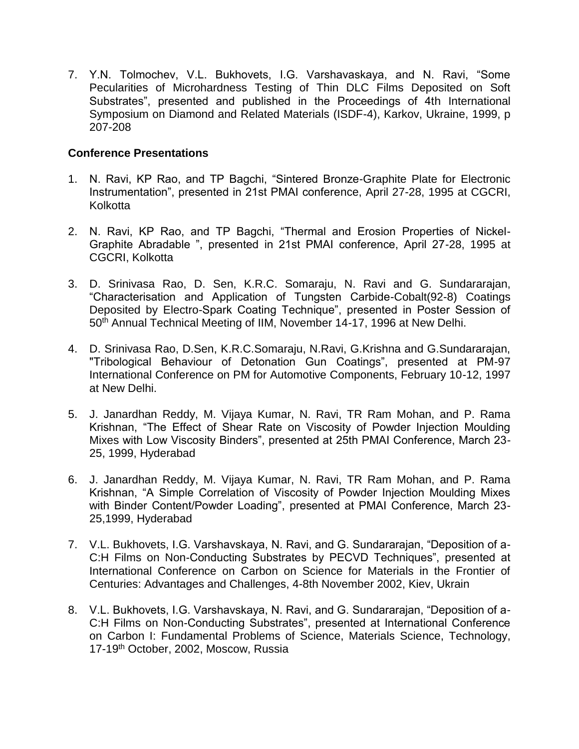7. Y.N. Tolmochev, V.L. Bukhovets, I.G. Varshavaskaya, and N. Ravi, "Some Pecularities of Microhardness Testing of Thin DLC Films Deposited on Soft Substrates", presented and published in the Proceedings of 4th International Symposium on Diamond and Related Materials (ISDF-4), Karkov, Ukraine, 1999, p 207-208

#### **Conference Presentations**

- 1. N. Ravi, KP Rao, and TP Bagchi, "Sintered Bronze-Graphite Plate for Electronic Instrumentation", presented in 21st PMAI conference, April 27-28, 1995 at CGCRI, Kolkotta
- 2. N. Ravi, KP Rao, and TP Bagchi, "Thermal and Erosion Properties of Nickel-Graphite Abradable ", presented in 21st PMAI conference, April 27-28, 1995 at CGCRI, Kolkotta
- 3. D. Srinivasa Rao, D. Sen, K.R.C. Somaraju, N. Ravi and G. Sundararajan, "Characterisation and Application of Tungsten Carbide-Cobalt(92-8) Coatings Deposited by Electro-Spark Coating Technique", presented in Poster Session of 50th Annual Technical Meeting of IIM, November 14-17, 1996 at New Delhi.
- 4. D. Srinivasa Rao, D.Sen, K.R.C.Somaraju, N.Ravi, G.Krishna and G.Sundararajan, "Tribological Behaviour of Detonation Gun Coatings", presented at PM-97 International Conference on PM for Automotive Components, February 10-12, 1997 at New Delhi.
- 5. J. Janardhan Reddy, M. Vijaya Kumar, N. Ravi, TR Ram Mohan, and P. Rama Krishnan, "The Effect of Shear Rate on Viscosity of Powder Injection Moulding Mixes with Low Viscosity Binders", presented at 25th PMAI Conference, March 23- 25, 1999, Hyderabad
- 6. J. Janardhan Reddy, M. Vijaya Kumar, N. Ravi, TR Ram Mohan, and P. Rama Krishnan, "A Simple Correlation of Viscosity of Powder Injection Moulding Mixes with Binder Content/Powder Loading", presented at PMAI Conference, March 23- 25,1999, Hyderabad
- 7. V.L. Bukhovets, I.G. Varshavskaya, N. Ravi, and G. Sundararajan, "Deposition of a-C:H Films on Non-Conducting Substrates by PECVD Techniques", presented at International Conference on Carbon on Science for Materials in the Frontier of Centuries: Advantages and Challenges, 4-8th November 2002, Kiev, Ukrain
- 8. V.L. Bukhovets, I.G. Varshavskaya, N. Ravi, and G. Sundararajan, "Deposition of a-C:H Films on Non-Conducting Substrates", presented at International Conference on Carbon I: Fundamental Problems of Science, Materials Science, Technology, 17-19th October, 2002, Moscow, Russia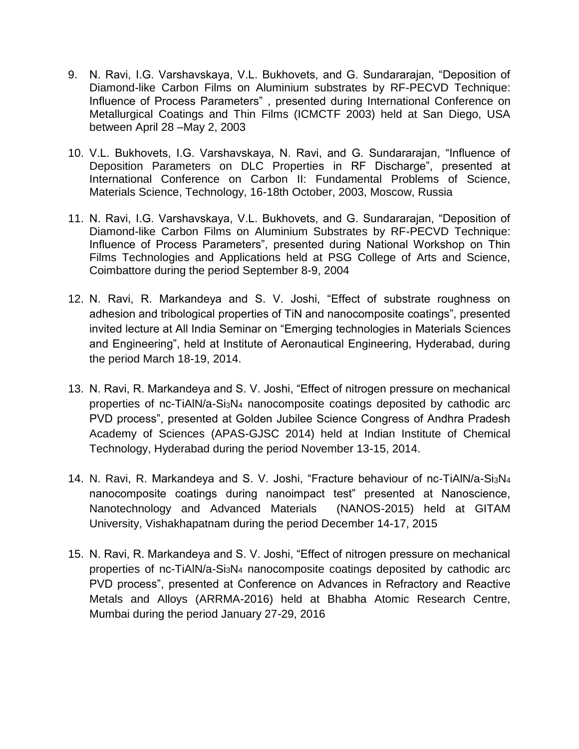- 9. N. Ravi, I.G. Varshavskaya, V.L. Bukhovets, and G. Sundararajan, "Deposition of Diamond-like Carbon Films on Aluminium substrates by RF-PECVD Technique: Influence of Process Parameters" , presented during International Conference on Metallurgical Coatings and Thin Films (ICMCTF 2003) held at San Diego, USA between April 28 –May 2, 2003
- 10. V.L. Bukhovets, I.G. Varshavskaya, N. Ravi, and G. Sundararajan, "Influence of Deposition Parameters on DLC Properties in RF Discharge", presented at International Conference on Carbon II: Fundamental Problems of Science, Materials Science, Technology, 16-18th October, 2003, Moscow, Russia
- 11. N. Ravi, I.G. Varshavskaya, V.L. Bukhovets, and G. Sundararajan, "Deposition of Diamond-like Carbon Films on Aluminium Substrates by RF-PECVD Technique: Influence of Process Parameters", presented during National Workshop on Thin Films Technologies and Applications held at PSG College of Arts and Science, Coimbattore during the period September 8-9, 2004
- 12. N. Ravi, R. Markandeya and S. V. Joshi, "Effect of substrate roughness on adhesion and tribological properties of TiN and nanocomposite coatings", presented invited lecture at All India Seminar on "Emerging technologies in Materials Sciences and Engineering", held at Institute of Aeronautical Engineering, Hyderabad, during the period March 18-19, 2014.
- 13. N. Ravi, R. Markandeya and S. V. Joshi, "Effect of nitrogen pressure on mechanical properties of nc-TiAlN/a-Si3N<sup>4</sup> nanocomposite coatings deposited by cathodic arc PVD process", presented at Golden Jubilee Science Congress of Andhra Pradesh Academy of Sciences (APAS-GJSC 2014) held at Indian Institute of Chemical Technology, Hyderabad during the period November 13-15, 2014.
- 14. N. Ravi, R. Markandeya and S. V. Joshi, "Fracture behaviour of nc-TiAlN/a-Si3N<sup>4</sup> nanocomposite coatings during nanoimpact test" presented at Nanoscience, Nanotechnology and Advanced Materials (NANOS-2015) held at GITAM University, Vishakhapatnam during the period December 14-17, 2015
- 15. N. Ravi, R. Markandeya and S. V. Joshi, "Effect of nitrogen pressure on mechanical properties of nc-TiAlN/a-Si3N<sup>4</sup> nanocomposite coatings deposited by cathodic arc PVD process", presented at Conference on Advances in Refractory and Reactive Metals and Alloys (ARRMA-2016) held at Bhabha Atomic Research Centre, Mumbai during the period January 27-29, 2016